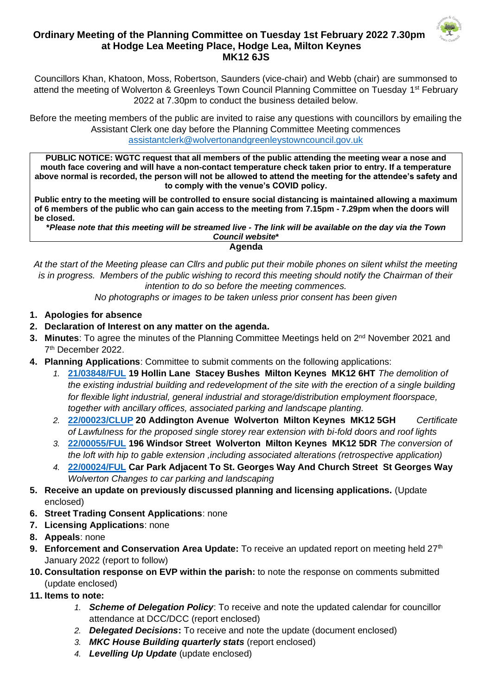

## **Ordinary Meeting of the Planning Committee on Tuesday 1st February 2022 7.30pm at Hodge Lea Meeting Place, Hodge Lea, Milton Keynes MK12 6JS**

Councillors Khan, Khatoon, Moss, Robertson, Saunders (vice-chair) and Webb (chair) are summonsed to attend the meeting of Wolverton & Greenleys Town Council Planning Committee on Tuesday 1<sup>st</sup> February 2022 at 7.30pm to conduct the business detailed below.

Before the meeting members of the public are invited to raise any questions with councillors by emailing the Assistant Clerk one day before the Planning Committee Meeting commences [assistantclerk@wolvertonandgreenleystowncouncil.gov.uk](mailto:assistantclerk@wolvertonandgreenleystowncouncil.gov.uk)

**PUBLIC NOTICE: WGTC request that all members of the public attending the meeting wear a nose and mouth face covering and will have a non-contact temperature check taken prior to entry. If a temperature above normal is recorded, the person will not be allowed to attend the meeting for the attendee's safety and to comply with the venue's COVID policy.** 

**Public entry to the meeting will be controlled to ensure social distancing is maintained allowing a maximum of 6 members of the public who can gain access to the meeting from 7.15pm - 7.29pm when the doors will be closed.**

**\****Please note that this meeting will be streamed live - The link will be available on the day via the Town Council website***\***

**Agenda**

*At the start of the Meeting please can Cllrs and public put their mobile phones on silent whilst the meeting is in progress. Members of the public wishing to record this meeting should notify the Chairman of their intention to do so before the meeting commences.* 

*No photographs or images to be taken unless prior consent has been given*

- **1. Apologies for absence**
- **2. Declaration of Interest on any matter on the agenda.**
- 3. Minutes: To agree the minutes of the Planning Committee Meetings held on 2<sup>nd</sup> November 2021 and 7 th December 2022.
- **4. Planning Applications**: Committee to submit comments on the following applications:
	- *1.* **[21/03848/FUL](https://npaedms.milton-keynes.gov.uk/PublicAccess_Corplive/SearchResult/RunThirdPartySearch?FileSystemId=DC&FOLDER1_REF=21/03848/FUL) 19 Hollin Lane Stacey Bushes Milton Keynes MK12 6HT** *The demolition of the existing industrial building and redevelopment of the site with the erection of a single building for flexible light industrial, general industrial and storage/distribution employment floorspace, together with ancillary offices, associated parking and landscape planting.*
	- *2.* **[22/00023/CLUP](https://npaedms.milton-keynes.gov.uk/PublicAccess_Corplive/SearchResult/RunThirdPartySearch?FileSystemId=DC&FOLDER1_REF=22/00023/CLUP) 20 Addington Avenue Wolverton Milton Keynes MK12 5GH** *Certificate of Lawfulness for the proposed single storey rear extension with bi-fold doors and roof lights*
	- *3.* **[22/00055/FUL](https://npaedms.milton-keynes.gov.uk/PublicAccess_Corplive/SearchResult/RunThirdPartySearch?FileSystemId=DC&FOLDER1_REF=22/00055/FUL) 196 Windsor Street Wolverton Milton Keynes MK12 5DR** *The conversion of the loft with hip to gable extension ,including associated alterations (retrospective application)*
	- *4.* **[22/00024/FUL](https://npaedms.milton-keynes.gov.uk/PublicAccess_Corplive/SearchResult/RunThirdPartySearch?FileSystemId=DC&FOLDER1_REF=22/00024/FUL) Car Park Adjacent To St. Georges Way And Church Street St Georges Way**  *Wolverton Changes to car parking and landscaping*
- **5. Receive an update on previously discussed planning and licensing applications.** (Update enclosed)
- **6. Street Trading Consent Applications**: none
- **7. Licensing Applications**: none
- **8. Appeals**: none
- **9. Enforcement and Conservation Area Update:** To receive an updated report on meeting held 27<sup>th</sup> January 2022 (report to follow)
- **10. Consultation response on EVP within the parish:** to note the response on comments submitted (update enclosed)
- **11. Items to note:**
	- *1. Scheme of Delegation Policy*: To receive and note the updated calendar for councillor attendance at DCC/DCC (report enclosed)
	- *2. Delegated Decisions***:** To receive and note the update (document enclosed)
	- *3. MKC House Building quarterly stats* (report enclosed)
	- *4. Levelling Up Update* (update enclosed)